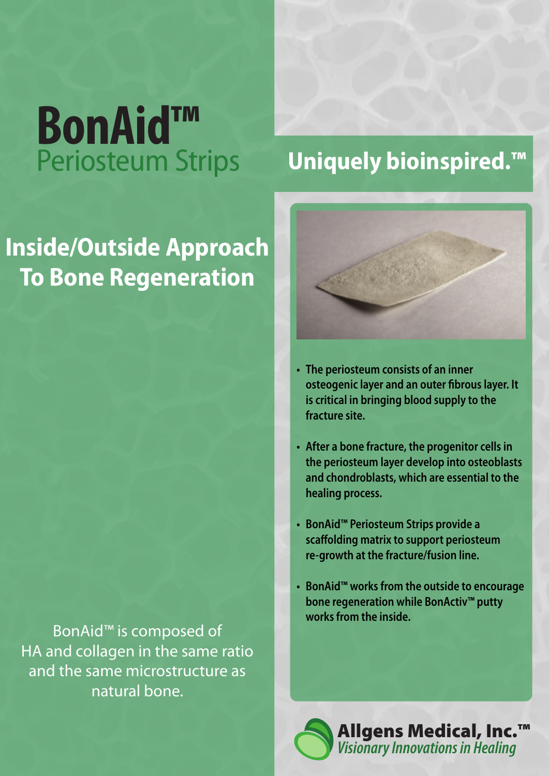# **BonAid™** Periosteum Strips

### **Uniquely bioinspired.™**

### **Inside/Outside Approach To Bone Regeneration**

BonAid™ is composed of HA and collagen in the same ratio and the same microstructure as natural bone.



- **The periosteum consists of an inner osteogenic layer and an outer fibrous layer. It is critical in bringing blood supply to the fracture site.**
- **After a bone fracture, the progenitor cells in the periosteum layer develop into osteoblasts and chondroblasts, which are essential to the healing process.**
- **BonAid™ Periosteum Strips provide a scaffolding matrix to support periosteum re-growth at the fracture/fusion line.**
- **BonAid™ works from the outside to encourage bone regeneration while BonActiv™ putty works from the inside.**



Allgens Medical, Inc.™ *Visionary Innovations in Healing*